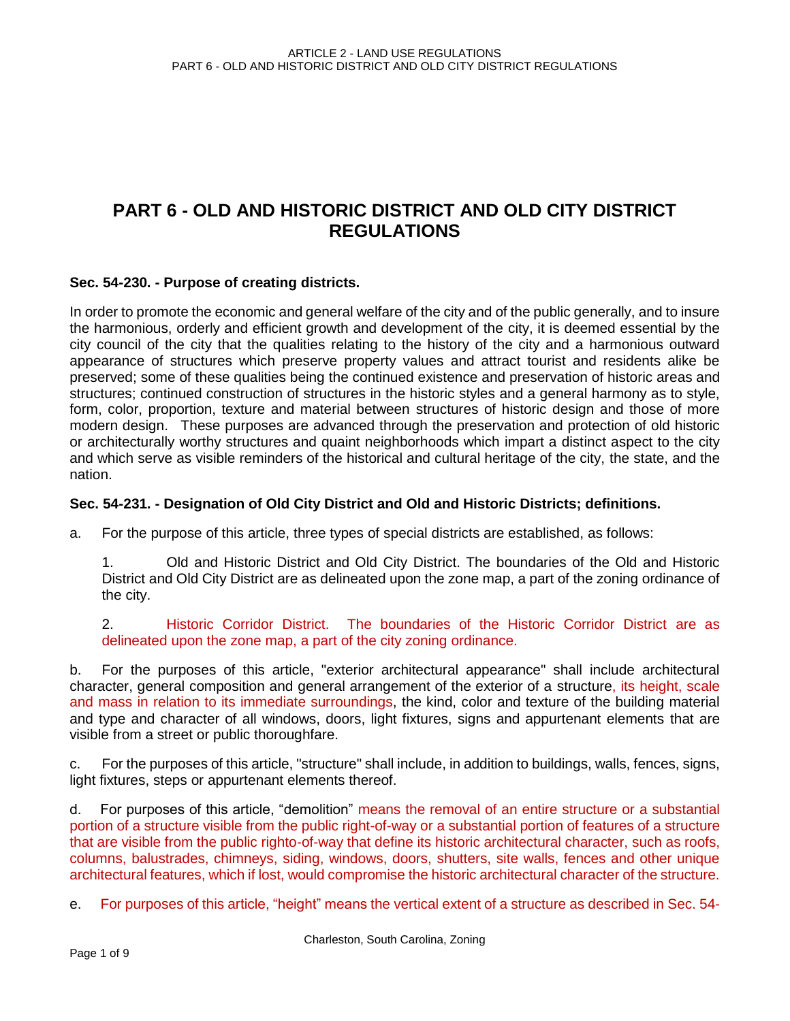# **PART 6 - OLD AND HISTORIC DISTRICT AND OLD CITY DISTRICT REGULATIONS**

#### **Sec. 54-230. - Purpose of creating districts.**

In order to promote the economic and general welfare of the city and of the public generally, and to insure the harmonious, orderly and efficient growth and development of the city, it is deemed essential by the city council of the city that the qualities relating to the history of the city and a harmonious outward appearance of structures which preserve property values and attract tourist and residents alike be preserved; some of these qualities being the continued existence and preservation of historic areas and structures; continued construction of structures in the historic styles and a general harmony as to style, form, color, proportion, texture and material between structures of historic design and those of more modern design. These purposes are advanced through the preservation and protection of old historic or architecturally worthy structures and quaint neighborhoods which impart a distinct aspect to the city and which serve as visible reminders of the historical and cultural heritage of the city, the state, and the nation.

### **Sec. 54-231. - Designation of Old City District and Old and Historic Districts; definitions.**

a. For the purpose of this article, three types of special districts are established, as follows:

1. Old and Historic District and Old City District. The boundaries of the Old and Historic District and Old City District are as delineated upon the zone map, a part of the zoning ordinance of the city.

2. Historic Corridor District. The boundaries of the Historic Corridor District are as delineated upon the zone map, a part of the city zoning ordinance.

b. For the purposes of this article, "exterior architectural appearance" shall include architectural character, general composition and general arrangement of the exterior of a structure, its height, scale and mass in relation to its immediate surroundings, the kind, color and texture of the building material and type and character of all windows, doors, light fixtures, signs and appurtenant elements that are visible from a street or public thoroughfare.

c. For the purposes of this article, "structure" shall include, in addition to buildings, walls, fences, signs, light fixtures, steps or appurtenant elements thereof.

d. For purposes of this article, "demolition" means the removal of an entire structure or a substantial portion of a structure visible from the public right-of-way or a substantial portion of features of a structure that are visible from the public righto-of-way that define its historic architectural character, such as roofs, columns, balustrades, chimneys, siding, windows, doors, shutters, site walls, fences and other unique architectural features, which if lost, would compromise the historic architectural character of the structure.

e. For purposes of this article, "height" means the vertical extent of a structure as described in Sec. 54-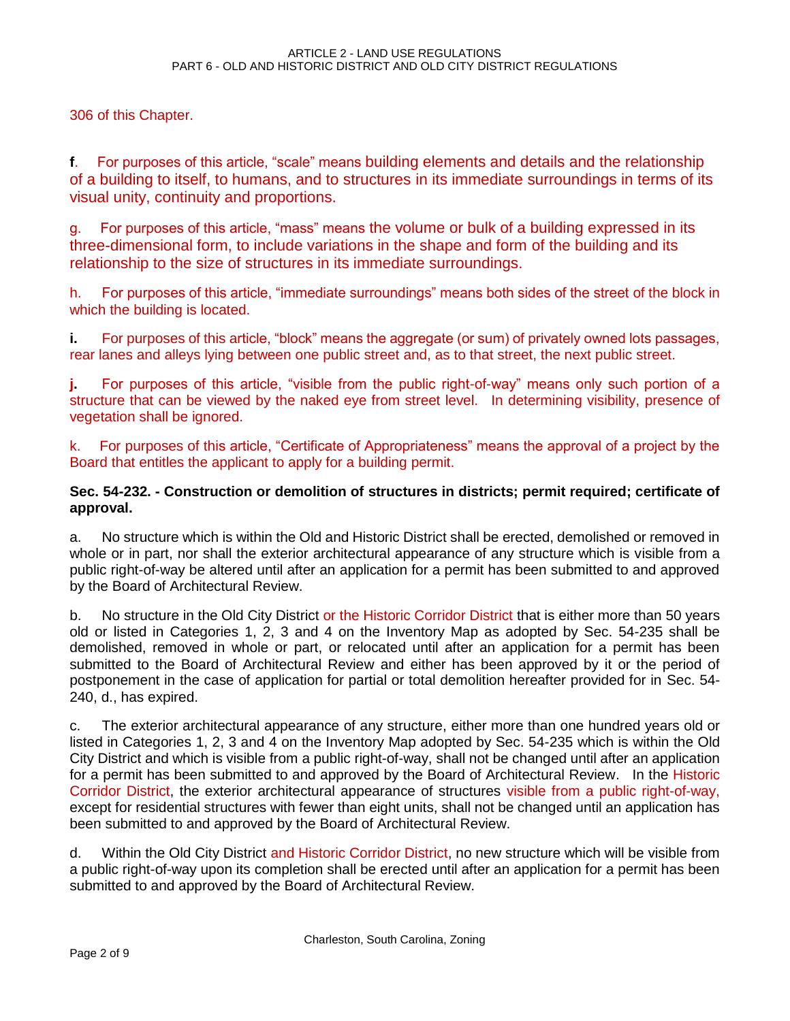306 of this Chapter.

**f**. For purposes of this article, "scale" means building elements and details and the relationship of a building to itself, to humans, and to structures in its immediate surroundings in terms of its visual unity, continuity and proportions.

g. For purposes of this article, "mass" means the volume or bulk of a building expressed in its three-dimensional form, to include variations in the shape and form of the building and its relationship to the size of structures in its immediate surroundings.

h. For purposes of this article, "immediate surroundings" means both sides of the street of the block in which the building is located.

**i.** For purposes of this article, "block" means the aggregate (or sum) of privately owned lots passages, rear lanes and alleys lying between one public street and, as to that street, the next public street.

**j.** For purposes of this article, "visible from the public right-of-way" means only such portion of a structure that can be viewed by the naked eye from street level. In determining visibility, presence of vegetation shall be ignored.

k. For purposes of this article, "Certificate of Appropriateness" means the approval of a project by the Board that entitles the applicant to apply for a building permit.

## **Sec. 54-232. - Construction or demolition of structures in districts; permit required; certificate of approval.**

a. No structure which is within the Old and Historic District shall be erected, demolished or removed in whole or in part, nor shall the exterior architectural appearance of any structure which is visible from a public right-of-way be altered until after an application for a permit has been submitted to and approved by the Board of Architectural Review.

b. No structure in the Old City District or the Historic Corridor District that is either more than 50 years old or listed in Categories 1, 2, 3 and 4 on the Inventory Map as adopted by Sec. 54-235 shall be demolished, removed in whole or part, or relocated until after an application for a permit has been submitted to the Board of Architectural Review and either has been approved by it or the period of postponement in the case of application for partial or total demolition hereafter provided for in Sec. 54- 240, d., has expired.

c. The exterior architectural appearance of any structure, either more than one hundred years old or listed in Categories 1, 2, 3 and 4 on the Inventory Map adopted by Sec. 54-235 which is within the Old City District and which is visible from a public right-of-way, shall not be changed until after an application for a permit has been submitted to and approved by the Board of Architectural Review. In the Historic Corridor District, the exterior architectural appearance of structures visible from a public right-of-way, except for residential structures with fewer than eight units, shall not be changed until an application has been submitted to and approved by the Board of Architectural Review.

d. Within the Old City District and Historic Corridor District, no new structure which will be visible from a public right-of-way upon its completion shall be erected until after an application for a permit has been submitted to and approved by the Board of Architectural Review.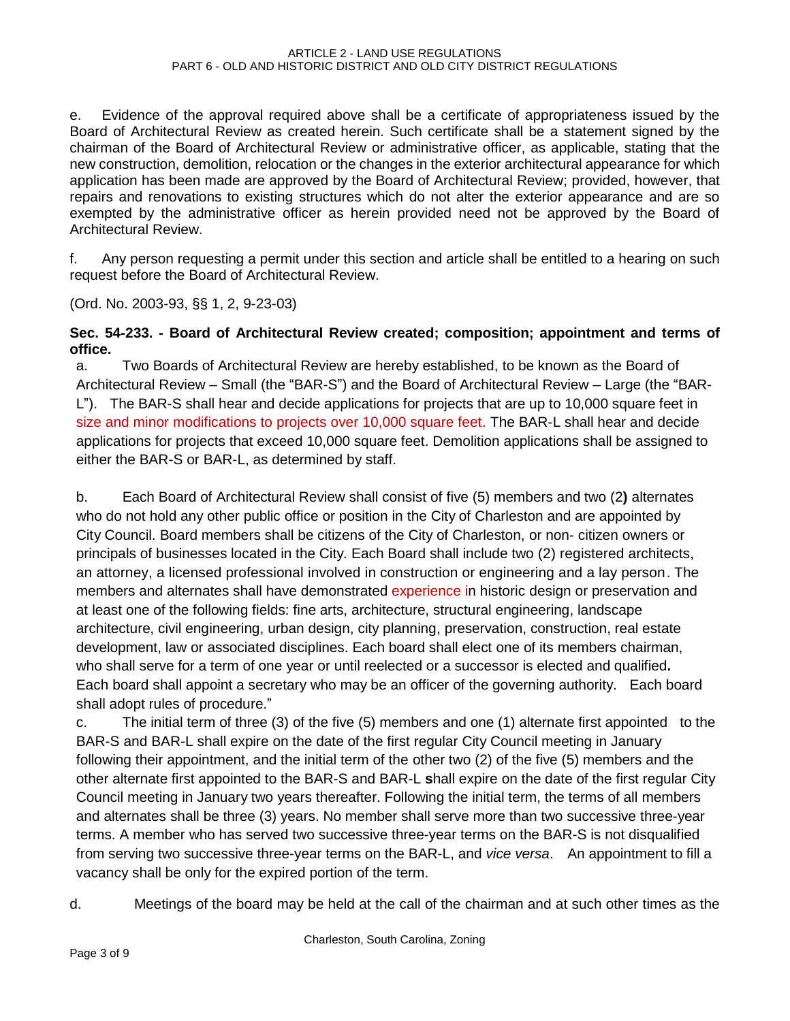e. Evidence of the approval required above shall be a certificate of appropriateness issued by the Board of Architectural Review as created herein. Such certificate shall be a statement signed by the chairman of the Board of Architectural Review or administrative officer, as applicable, stating that the new construction, demolition, relocation or the changes in the exterior architectural appearance for which application has been made are approved by the Board of Architectural Review; provided, however, that repairs and renovations to existing structures which do not alter the exterior appearance and are so exempted by the administrative officer as herein provided need not be approved by the Board of Architectural Review.

f. Any person requesting a permit under this section and article shall be entitled to a hearing on such request before the Board of Architectural Review.

(Ord. No. 2003-93, §§ 1, 2, 9-23-03)

## **Sec. 54-233. - Board of Architectural Review created; composition; appointment and terms of office.**

a. Two Boards of Architectural Review are hereby established, to be known as the Board of Architectural Review – Small (the "BAR-S") and the Board of Architectural Review – Large (the "BAR-L"). The BAR-S shall hear and decide applications for projects that are up to 10,000 square feet in size and minor modifications to projects over 10,000 square feet. The BAR-L shall hear and decide applications for projects that exceed 10,000 square feet. Demolition applications shall be assigned to either the BAR-S or BAR-L, as determined by staff.

b. Each Board of Architectural Review shall consist of five (5) members and two (2**)** alternates who do not hold any other public office or position in the City of Charleston and are appointed by City Council. Board members shall be citizens of the City of Charleston, or non- citizen owners or principals of businesses located in the City. Each Board shall include two (2) registered architects, an attorney, a licensed professional involved in construction or engineering and a lay person. The members and alternates shall have demonstrated experience in historic design or preservation and at least one of the following fields: fine arts, architecture, structural engineering, landscape architecture, civil engineering, urban design, city planning, preservation, construction, real estate development, law or associated disciplines. Each board shall elect one of its members chairman, who shall serve for a term of one year or until reelected or a successor is elected and qualified**.**  Each board shall appoint a secretary who may be an officer of the governing authority. Each board shall adopt rules of procedure."

c. The initial term of three (3) of the five (5) members and one (1) alternate first appointed to the BAR-S and BAR-L shall expire on the date of the first regular City Council meeting in January following their appointment, and the initial term of the other two (2) of the five (5) members and the other alternate first appointed to the BAR-S and BAR-L **s**hall expire on the date of the first regular City Council meeting in January two years thereafter. Following the initial term, the terms of all members and alternates shall be three (3) years. No member shall serve more than two successive three-year terms. A member who has served two successive three-year terms on the BAR-S is not disqualified from serving two successive three-year terms on the BAR-L, and *vice versa*. An appointment to fill a vacancy shall be only for the expired portion of the term.

d. Meetings of the board may be held at the call of the chairman and at such other times as the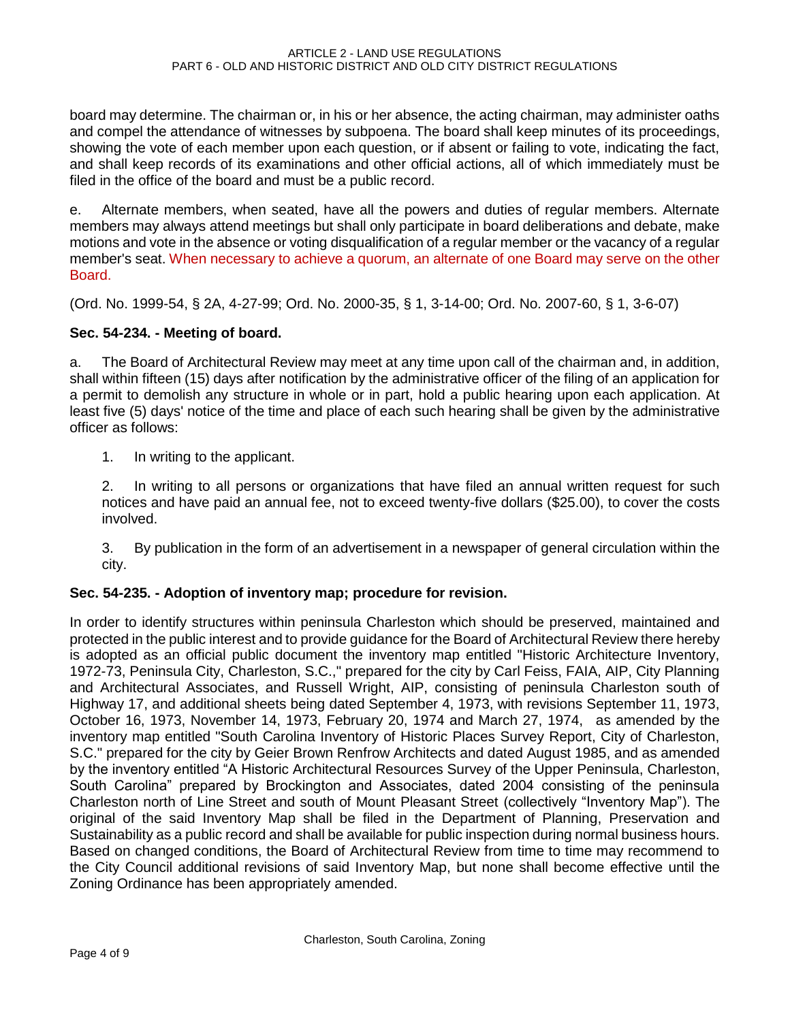board may determine. The chairman or, in his or her absence, the acting chairman, may administer oaths and compel the attendance of witnesses by subpoena. The board shall keep minutes of its proceedings, showing the vote of each member upon each question, or if absent or failing to vote, indicating the fact, and shall keep records of its examinations and other official actions, all of which immediately must be filed in the office of the board and must be a public record.

e. Alternate members, when seated, have all the powers and duties of regular members. Alternate members may always attend meetings but shall only participate in board deliberations and debate, make motions and vote in the absence or voting disqualification of a regular member or the vacancy of a regular member's seat. When necessary to achieve a quorum, an alternate of one Board may serve on the other Board.

(Ord. No. 1999-54, § 2A, 4-27-99; Ord. No. 2000-35, § 1, 3-14-00; Ord. No. 2007-60, § 1, 3-6-07)

## **Sec. 54-234. - Meeting of board.**

a. The Board of Architectural Review may meet at any time upon call of the chairman and, in addition, shall within fifteen (15) days after notification by the administrative officer of the filing of an application for a permit to demolish any structure in whole or in part, hold a public hearing upon each application. At least five (5) days' notice of the time and place of each such hearing shall be given by the administrative officer as follows:

1. In writing to the applicant.

2. In writing to all persons or organizations that have filed an annual written request for such notices and have paid an annual fee, not to exceed twenty-five dollars (\$25.00), to cover the costs involved.

3. By publication in the form of an advertisement in a newspaper of general circulation within the city.

## **Sec. 54-235. - Adoption of inventory map; procedure for revision.**

In order to identify structures within peninsula Charleston which should be preserved, maintained and protected in the public interest and to provide guidance for the Board of Architectural Review there hereby is adopted as an official public document the inventory map entitled "Historic Architecture Inventory, 1972-73, Peninsula City, Charleston, S.C.," prepared for the city by Carl Feiss, FAIA, AIP, City Planning and Architectural Associates, and Russell Wright, AIP, consisting of peninsula Charleston south of Highway 17, and additional sheets being dated September 4, 1973, with revisions September 11, 1973, October 16, 1973, November 14, 1973, February 20, 1974 and March 27, 1974, as amended by the inventory map entitled "South Carolina Inventory of Historic Places Survey Report, City of Charleston, S.C." prepared for the city by Geier Brown Renfrow Architects and dated August 1985, and as amended by the inventory entitled "A Historic Architectural Resources Survey of the Upper Peninsula, Charleston, South Carolina" prepared by Brockington and Associates, dated 2004 consisting of the peninsula Charleston north of Line Street and south of Mount Pleasant Street (collectively "Inventory Map"). The original of the said Inventory Map shall be filed in the Department of Planning, Preservation and Sustainability as a public record and shall be available for public inspection during normal business hours. Based on changed conditions, the Board of Architectural Review from time to time may recommend to the City Council additional revisions of said Inventory Map, but none shall become effective until the Zoning Ordinance has been appropriately amended.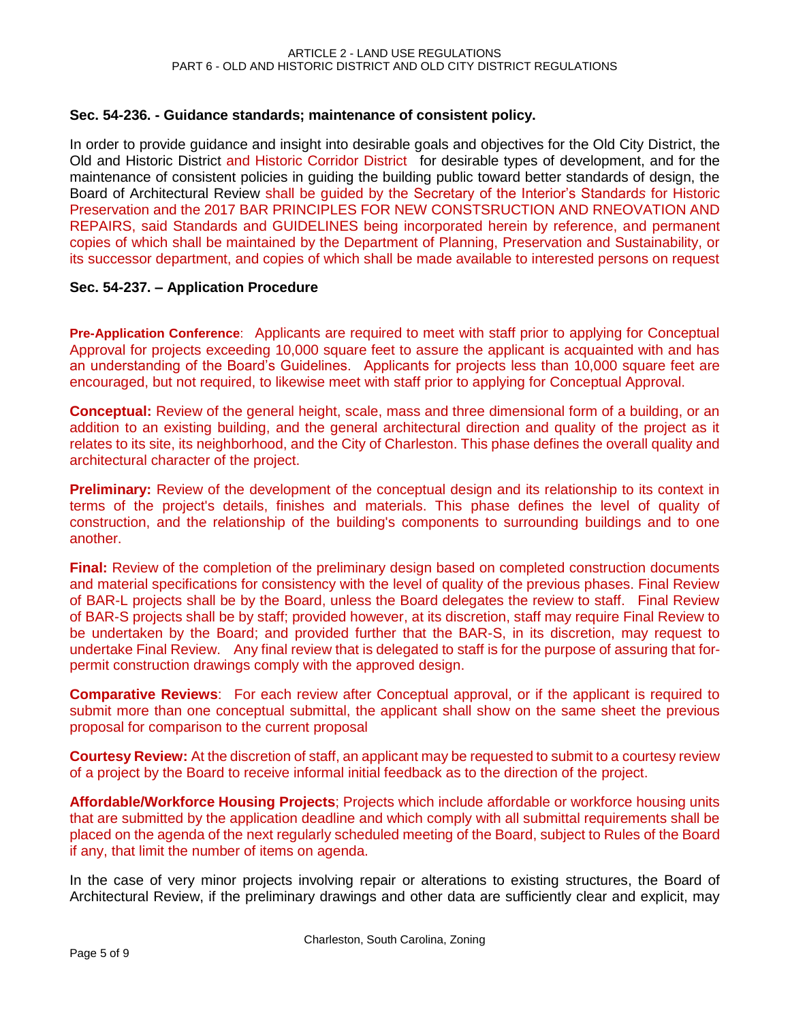### **Sec. 54-236. - Guidance standards; maintenance of consistent policy.**

In order to provide guidance and insight into desirable goals and objectives for the Old City District, the Old and Historic District and Historic Corridor District for desirable types of development, and for the maintenance of consistent policies in guiding the building public toward better standards of design, the Board of Architectural Review shall be guided by the Secretary of the Interior's Standard*s* for Historic Preservation and the 2017 BAR PRINCIPLES FOR NEW CONSTSRUCTION AND RNEOVATION AND REPAIRS, said Standards and GUIDELINES being incorporated herein by reference, and permanent copies of which shall be maintained by the Department of Planning, Preservation and Sustainability, or its successor department, and copies of which shall be made available to interested persons on request

#### **Sec. 54-237. – Application Procedure**

**Pre-Application Conference**: Applicants are required to meet with staff prior to applying for Conceptual Approval for projects exceeding 10,000 square feet to assure the applicant is acquainted with and has an understanding of the Board's Guidelines. Applicants for projects less than 10,000 square feet are encouraged, but not required, to likewise meet with staff prior to applying for Conceptual Approval.

**Conceptual:** Review of the general height, scale, mass and three dimensional form of a building, or an addition to an existing building, and the general architectural direction and quality of the project as it relates to its site, its neighborhood, and the City of Charleston. This phase defines the overall quality and architectural character of the project.

**Preliminary:** Review of the development of the conceptual design and its relationship to its context in terms of the project's details, finishes and materials. This phase defines the level of quality of construction, and the relationship of the building's components to surrounding buildings and to one another.

**Final:** Review of the completion of the preliminary design based on completed construction documents and material specifications for consistency with the level of quality of the previous phases. Final Review of BAR-L projects shall be by the Board, unless the Board delegates the review to staff. Final Review of BAR-S projects shall be by staff; provided however, at its discretion, staff may require Final Review to be undertaken by the Board; and provided further that the BAR-S, in its discretion, may request to undertake Final Review. Any final review that is delegated to staff is for the purpose of assuring that forpermit construction drawings comply with the approved design.

**Comparative Reviews**: For each review after Conceptual approval, or if the applicant is required to submit more than one conceptual submittal, the applicant shall show on the same sheet the previous proposal for comparison to the current proposal

**Courtesy Review:** At the discretion of staff, an applicant may be requested to submit to a courtesy review of a project by the Board to receive informal initial feedback as to the direction of the project.

**Affordable/Workforce Housing Projects**; Projects which include affordable or workforce housing units that are submitted by the application deadline and which comply with all submittal requirements shall be placed on the agenda of the next regularly scheduled meeting of the Board, subject to Rules of the Board if any, that limit the number of items on agenda.

In the case of very minor projects involving repair or alterations to existing structures, the Board of Architectural Review, if the preliminary drawings and other data are sufficiently clear and explicit, may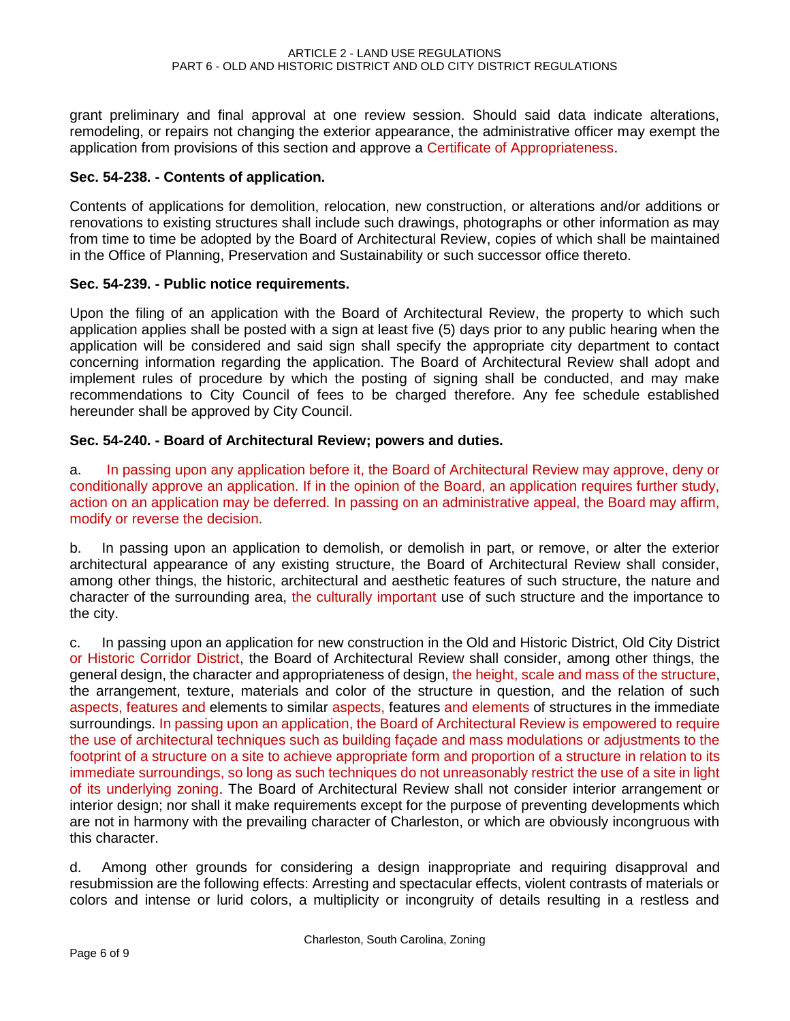grant preliminary and final approval at one review session. Should said data indicate alterations, remodeling, or repairs not changing the exterior appearance, the administrative officer may exempt the application from provisions of this section and approve a Certificate of Appropriateness.

### **Sec. 54-238. - Contents of application.**

Contents of applications for demolition, relocation, new construction, or alterations and/or additions or renovations to existing structures shall include such drawings, photographs or other information as may from time to time be adopted by the Board of Architectural Review, copies of which shall be maintained in the Office of Planning, Preservation and Sustainability or such successor office thereto.

#### **Sec. 54-239. - Public notice requirements.**

Upon the filing of an application with the Board of Architectural Review, the property to which such application applies shall be posted with a sign at least five (5) days prior to any public hearing when the application will be considered and said sign shall specify the appropriate city department to contact concerning information regarding the application. The Board of Architectural Review shall adopt and implement rules of procedure by which the posting of signing shall be conducted, and may make recommendations to City Council of fees to be charged therefore. Any fee schedule established hereunder shall be approved by City Council.

#### **Sec. 54-240. - Board of Architectural Review; powers and duties.**

a.In passing upon any application before it, the Board of Architectural Review may approve, deny or conditionally approve an application. If in the opinion of the Board, an application requires further study, action on an application may be deferred. In passing on an administrative appeal, the Board may affirm, modify or reverse the decision.

b. In passing upon an application to demolish, or demolish in part, or remove, or alter the exterior architectural appearance of any existing structure, the Board of Architectural Review shall consider, among other things, the historic, architectural and aesthetic features of such structure, the nature and character of the surrounding area, the culturally important use of such structure and the importance to the city.

c. In passing upon an application for new construction in the Old and Historic District, Old City District or Historic Corridor District, the Board of Architectural Review shall consider, among other things, the general design, the character and appropriateness of design, the height, scale and mass of the structure, the arrangement, texture, materials and color of the structure in question, and the relation of such aspects, features and elements to similar aspects, features and elements of structures in the immediate surroundings. In passing upon an application, the Board of Architectural Review is empowered to require the use of architectural techniques such as building façade and mass modulations or adjustments to the footprint of a structure on a site to achieve appropriate form and proportion of a structure in relation to its immediate surroundings, so long as such techniques do not unreasonably restrict the use of a site in light of its underlying zoning. The Board of Architectural Review shall not consider interior arrangement or interior design; nor shall it make requirements except for the purpose of preventing developments which are not in harmony with the prevailing character of Charleston, or which are obviously incongruous with this character.

d. Among other grounds for considering a design inappropriate and requiring disapproval and resubmission are the following effects: Arresting and spectacular effects, violent contrasts of materials or colors and intense or lurid colors, a multiplicity or incongruity of details resulting in a restless and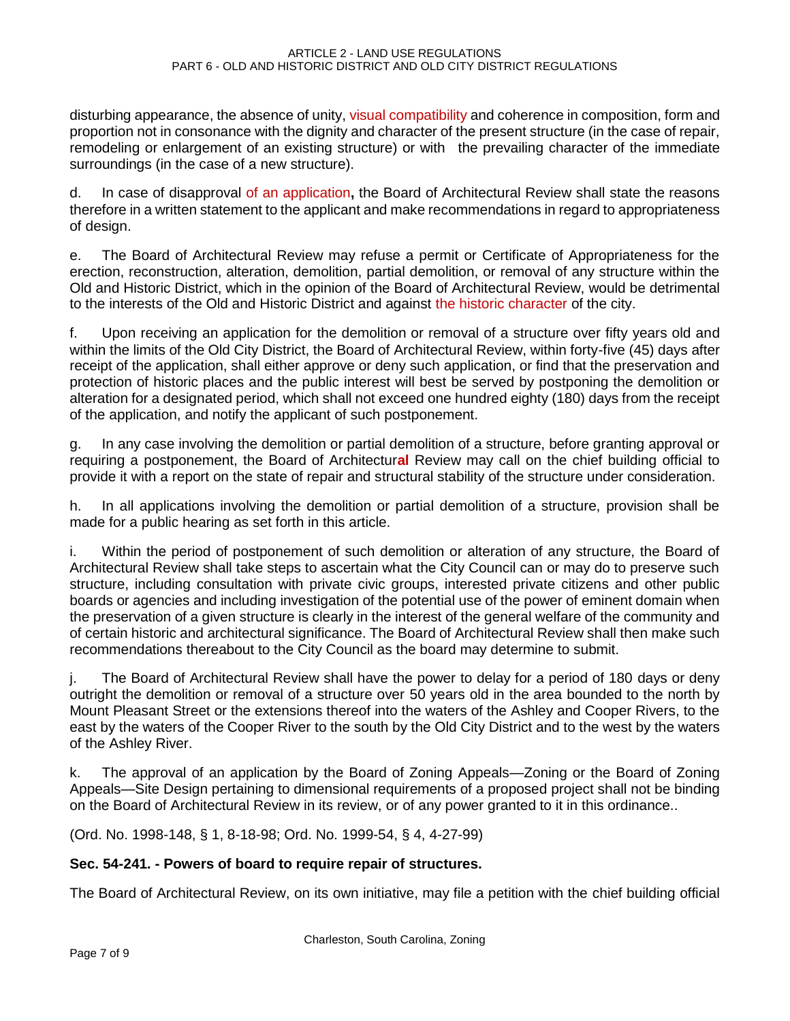disturbing appearance, the absence of unity, visual compatibility and coherence in composition, form and proportion not in consonance with the dignity and character of the present structure (in the case of repair, remodeling or enlargement of an existing structure) or with the prevailing character of the immediate surroundings (in the case of a new structure).

d. In case of disapproval of an application**,** the Board of Architectural Review shall state the reasons therefore in a written statement to the applicant and make recommendations in regard to appropriateness of design.

e. The Board of Architectural Review may refuse a permit or Certificate of Appropriateness for the erection, reconstruction, alteration, demolition, partial demolition, or removal of any structure within the Old and Historic District, which in the opinion of the Board of Architectural Review, would be detrimental to the interests of the Old and Historic District and against the historic character of the city.

f. Upon receiving an application for the demolition or removal of a structure over fifty years old and within the limits of the Old City District, the Board of Architectural Review, within forty-five (45) days after receipt of the application, shall either approve or deny such application, or find that the preservation and protection of historic places and the public interest will best be served by postponing the demolition or alteration for a designated period, which shall not exceed one hundred eighty (180) days from the receipt of the application, and notify the applicant of such postponement.

g. In any case involving the demolition or partial demolition of a structure, before granting approval or requiring a postponement, the Board of Architectur**al** Review may call on the chief building official to provide it with a report on the state of repair and structural stability of the structure under consideration.

h. In all applications involving the demolition or partial demolition of a structure, provision shall be made for a public hearing as set forth in this article.

i. Within the period of postponement of such demolition or alteration of any structure, the Board of Architectural Review shall take steps to ascertain what the City Council can or may do to preserve such structure, including consultation with private civic groups, interested private citizens and other public boards or agencies and including investigation of the potential use of the power of eminent domain when the preservation of a given structure is clearly in the interest of the general welfare of the community and of certain historic and architectural significance. The Board of Architectural Review shall then make such recommendations thereabout to the City Council as the board may determine to submit.

j. The Board of Architectural Review shall have the power to delay for a period of 180 days or deny outright the demolition or removal of a structure over 50 years old in the area bounded to the north by Mount Pleasant Street or the extensions thereof into the waters of the Ashley and Cooper Rivers, to the east by the waters of the Cooper River to the south by the Old City District and to the west by the waters of the Ashley River.

k. The approval of an application by the Board of Zoning Appeals—Zoning or the Board of Zoning Appeals—Site Design pertaining to dimensional requirements of a proposed project shall not be binding on the Board of Architectural Review in its review, or of any power granted to it in this ordinance..

(Ord. No. 1998-148, § 1, 8-18-98; Ord. No. 1999-54, § 4, 4-27-99)

# **Sec. 54-241. - Powers of board to require repair of structures.**

The Board of Architectural Review, on its own initiative, may file a petition with the chief building official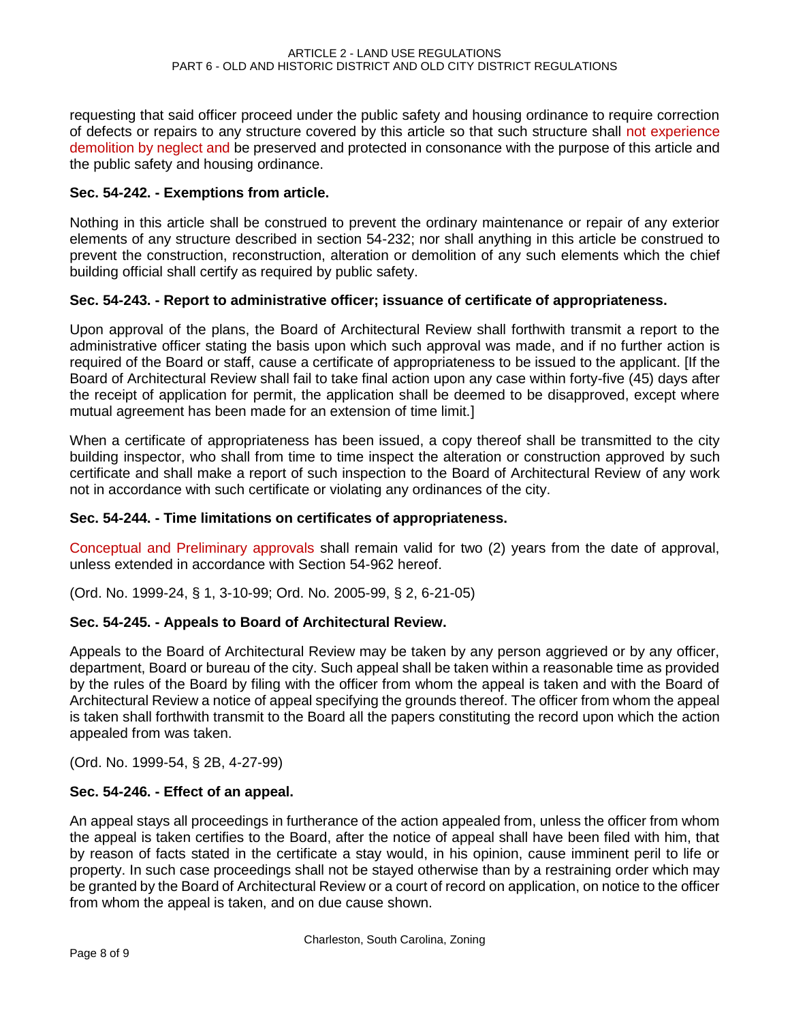requesting that said officer proceed under the public safety and housing ordinance to require correction of defects or repairs to any structure covered by this article so that such structure shall not experience demolition by neglect and be preserved and protected in consonance with the purpose of this article and the public safety and housing ordinance.

## **Sec. 54-242. - Exemptions from article.**

Nothing in this article shall be construed to prevent the ordinary maintenance or repair of any exterior elements of any structure described in section 54-232; nor shall anything in this article be construed to prevent the construction, reconstruction, alteration or demolition of any such elements which the chief building official shall certify as required by public safety.

## **Sec. 54-243. - Report to administrative officer; issuance of certificate of appropriateness.**

Upon approval of the plans, the Board of Architectural Review shall forthwith transmit a report to the administrative officer stating the basis upon which such approval was made, and if no further action is required of the Board or staff, cause a certificate of appropriateness to be issued to the applicant. [If the Board of Architectural Review shall fail to take final action upon any case within forty-five (45) days after the receipt of application for permit, the application shall be deemed to be disapproved, except where mutual agreement has been made for an extension of time limit.]

When a certificate of appropriateness has been issued, a copy thereof shall be transmitted to the city building inspector, who shall from time to time inspect the alteration or construction approved by such certificate and shall make a report of such inspection to the Board of Architectural Review of any work not in accordance with such certificate or violating any ordinances of the city.

## **Sec. 54-244. - Time limitations on certificates of appropriateness.**

Conceptual and Preliminary approvals shall remain valid for two (2) years from the date of approval, unless extended in accordance with Section 54-962 hereof.

(Ord. No. 1999-24, § 1, 3-10-99; Ord. No. 2005-99, § 2, 6-21-05)

## **Sec. 54-245. - Appeals to Board of Architectural Review.**

Appeals to the Board of Architectural Review may be taken by any person aggrieved or by any officer, department, Board or bureau of the city. Such appeal shall be taken within a reasonable time as provided by the rules of the Board by filing with the officer from whom the appeal is taken and with the Board of Architectural Review a notice of appeal specifying the grounds thereof. The officer from whom the appeal is taken shall forthwith transmit to the Board all the papers constituting the record upon which the action appealed from was taken.

(Ord. No. 1999-54, § 2B, 4-27-99)

# **Sec. 54-246. - Effect of an appeal.**

An appeal stays all proceedings in furtherance of the action appealed from, unless the officer from whom the appeal is taken certifies to the Board, after the notice of appeal shall have been filed with him, that by reason of facts stated in the certificate a stay would, in his opinion, cause imminent peril to life or property. In such case proceedings shall not be stayed otherwise than by a restraining order which may be granted by the Board of Architectural Review or a court of record on application, on notice to the officer from whom the appeal is taken, and on due cause shown.